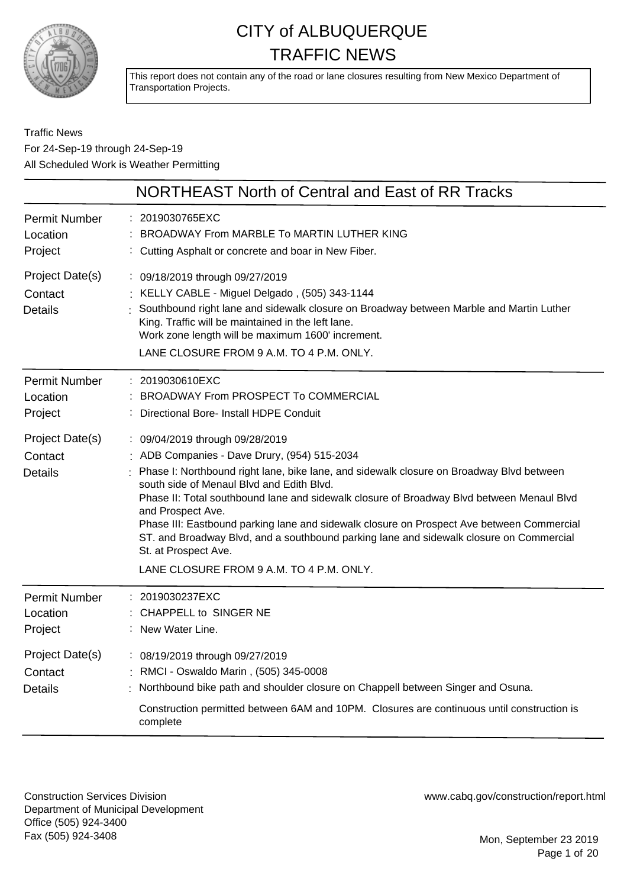

This report does not contain any of the road or lane closures resulting from New Mexico Department of Transportation Projects.

#### Traffic News For 24-Sep-19 through 24-Sep-19 All Scheduled Work is Weather Permitting

|                                              | NORTHEAST North of Central and East of RR Tracks                                                                                                                                                                                                                                                                                                                                                                                                                                                                                                                                                       |
|----------------------------------------------|--------------------------------------------------------------------------------------------------------------------------------------------------------------------------------------------------------------------------------------------------------------------------------------------------------------------------------------------------------------------------------------------------------------------------------------------------------------------------------------------------------------------------------------------------------------------------------------------------------|
| <b>Permit Number</b><br>Location<br>Project  | 2019030765EXC<br>BROADWAY From MARBLE To MARTIN LUTHER KING<br>Cutting Asphalt or concrete and boar in New Fiber.                                                                                                                                                                                                                                                                                                                                                                                                                                                                                      |
| Project Date(s)<br>Contact<br><b>Details</b> | : 09/18/2019 through 09/27/2019<br>: KELLY CABLE - Miguel Delgado, (505) 343-1144<br>Southbound right lane and sidewalk closure on Broadway between Marble and Martin Luther<br>King. Traffic will be maintained in the left lane.<br>Work zone length will be maximum 1600' increment.<br>LANE CLOSURE FROM 9 A.M. TO 4 P.M. ONLY.                                                                                                                                                                                                                                                                    |
| <b>Permit Number</b><br>Location<br>Project  | : 2019030610EXC<br><b>BROADWAY From PROSPECT To COMMERCIAL</b><br>Directional Bore- Install HDPE Conduit                                                                                                                                                                                                                                                                                                                                                                                                                                                                                               |
| Project Date(s)<br>Contact<br><b>Details</b> | : 09/04/2019 through 09/28/2019<br>: ADB Companies - Dave Drury, (954) 515-2034<br>Phase I: Northbound right lane, bike lane, and sidewalk closure on Broadway Blvd between<br>south side of Menaul Blvd and Edith Blvd.<br>Phase II: Total southbound lane and sidewalk closure of Broadway Blvd between Menaul Blvd<br>and Prospect Ave.<br>Phase III: Eastbound parking lane and sidewalk closure on Prospect Ave between Commercial<br>ST. and Broadway Blvd, and a southbound parking lane and sidewalk closure on Commercial<br>St. at Prospect Ave.<br>LANE CLOSURE FROM 9 A.M. TO 4 P.M. ONLY. |
| <b>Permit Number</b><br>Location<br>Project  | 2019030237EXC<br>CHAPPELL to SINGER NE<br>New Water Line.                                                                                                                                                                                                                                                                                                                                                                                                                                                                                                                                              |
| Project Date(s)<br>Contact<br>Details        | : 08/19/2019 through 09/27/2019<br>: RMCI - Oswaldo Marin, (505) 345-0008<br>Northbound bike path and shoulder closure on Chappell between Singer and Osuna.<br>Construction permitted between 6AM and 10PM. Closures are continuous until construction is<br>complete                                                                                                                                                                                                                                                                                                                                 |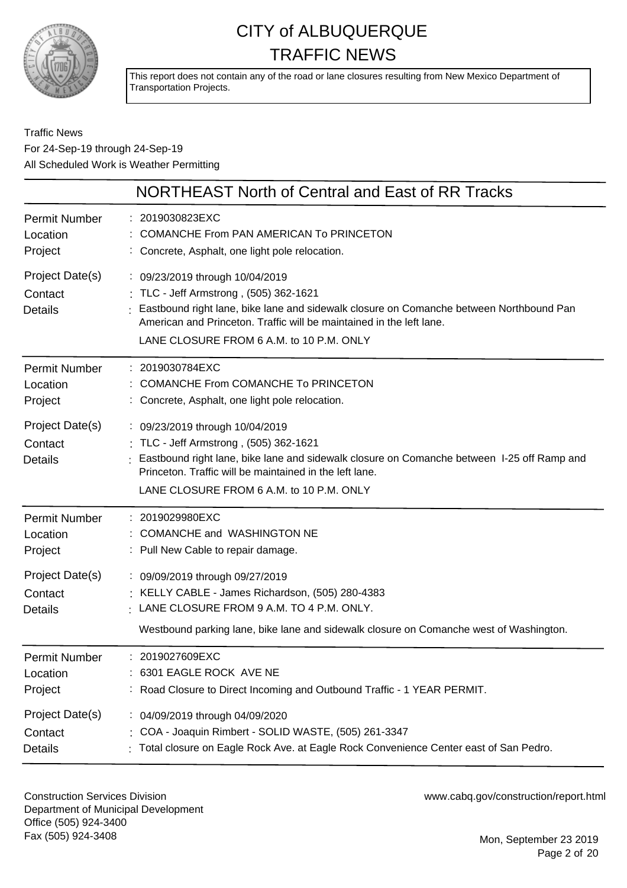

This report does not contain any of the road or lane closures resulting from New Mexico Department of Transportation Projects.

#### Traffic News For 24-Sep-19 through 24-Sep-19 All Scheduled Work is Weather Permitting

|                                              | NORTHEAST North of Central and East of RR Tracks                                                                                                                                                                                                                                         |
|----------------------------------------------|------------------------------------------------------------------------------------------------------------------------------------------------------------------------------------------------------------------------------------------------------------------------------------------|
| Permit Number                                | : 2019030823EXC                                                                                                                                                                                                                                                                          |
| Location                                     | COMANCHE From PAN AMERICAN To PRINCETON                                                                                                                                                                                                                                                  |
| Project                                      | : Concrete, Asphalt, one light pole relocation.                                                                                                                                                                                                                                          |
| Project Date(s)<br>Contact<br><b>Details</b> | : 09/23/2019 through 10/04/2019<br>: TLC - Jeff Armstrong, (505) 362-1621<br>Eastbound right lane, bike lane and sidewalk closure on Comanche between Northbound Pan<br>American and Princeton. Traffic will be maintained in the left lane.<br>LANE CLOSURE FROM 6 A.M. to 10 P.M. ONLY |
| Permit Number                                | : 2019030784EXC                                                                                                                                                                                                                                                                          |
| Location                                     | : COMANCHE From COMANCHE To PRINCETON                                                                                                                                                                                                                                                    |
| Project                                      | : Concrete, Asphalt, one light pole relocation.                                                                                                                                                                                                                                          |
| Project Date(s)<br>Contact<br><b>Details</b> | : 09/23/2019 through 10/04/2019<br>: TLC - Jeff Armstrong, (505) 362-1621<br>Eastbound right lane, bike lane and sidewalk closure on Comanche between 1-25 off Ramp and<br>Princeton. Traffic will be maintained in the left lane.<br>LANE CLOSURE FROM 6 A.M. to 10 P.M. ONLY           |
| Permit Number                                | : 2019029980EXC                                                                                                                                                                                                                                                                          |
| Location                                     | : COMANCHE and WASHINGTON NE                                                                                                                                                                                                                                                             |
| Project                                      | : Pull New Cable to repair damage.                                                                                                                                                                                                                                                       |
| Project Date(s)<br>Contact<br><b>Details</b> | : 09/09/2019 through 09/27/2019<br>: KELLY CABLE - James Richardson, (505) 280-4383<br>$\cdot$ LANE CLOSURE FROM 9 A.M. TO 4 P.M. ONLY.<br>Westbound parking lane, bike lane and sidewalk closure on Comanche west of Washington.                                                        |
| <b>Permit Number</b>                         | : 2019027609EXC                                                                                                                                                                                                                                                                          |
| Location                                     | : 6301 EAGLE ROCK AVE NE                                                                                                                                                                                                                                                                 |
| Project                                      | : Road Closure to Direct Incoming and Outbound Traffic - 1 YEAR PERMIT.                                                                                                                                                                                                                  |
| Project Date(s)                              | : 04/09/2019 through 04/09/2020                                                                                                                                                                                                                                                          |
| Contact                                      | : COA - Joaquin Rimbert - SOLID WASTE, (505) 261-3347                                                                                                                                                                                                                                    |
| <b>Details</b>                               | : Total closure on Eagle Rock Ave. at Eagle Rock Convenience Center east of San Pedro.                                                                                                                                                                                                   |

Construction Services Division Department of Municipal Development Office (505) 924-3400 Fax (505) 924-3408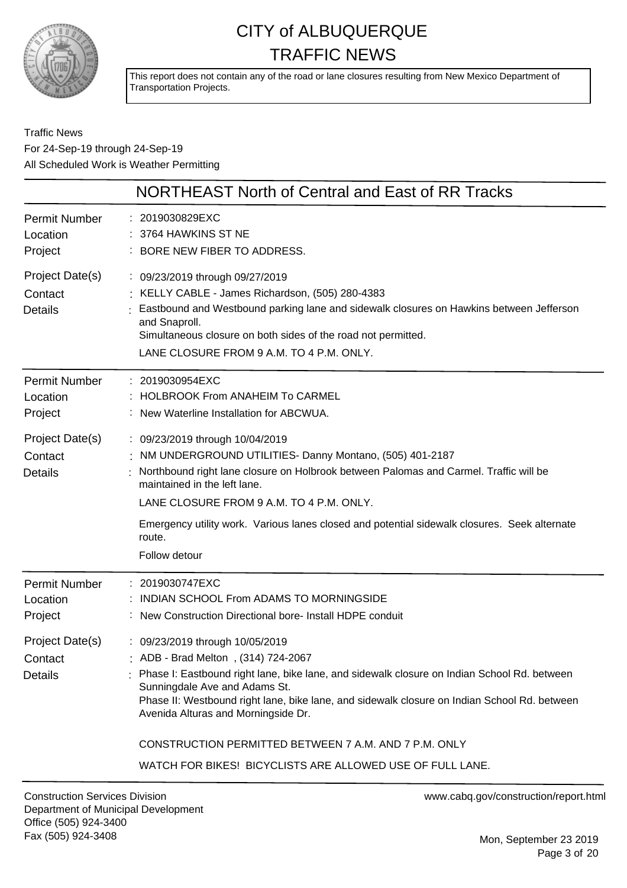

This report does not contain any of the road or lane closures resulting from New Mexico Department of Transportation Projects.

Traffic News For 24-Sep-19 through 24-Sep-19 All Scheduled Work is Weather Permitting

|                                              | NORTHEAST North of Central and East of RR Tracks                                                                                                                                                                                                                                                                                                                                                                                                                  |
|----------------------------------------------|-------------------------------------------------------------------------------------------------------------------------------------------------------------------------------------------------------------------------------------------------------------------------------------------------------------------------------------------------------------------------------------------------------------------------------------------------------------------|
| <b>Permit Number</b><br>Location<br>Project  | : 2019030829EXC<br>3764 HAWKINS ST NE<br>: BORE NEW FIBER TO ADDRESS.                                                                                                                                                                                                                                                                                                                                                                                             |
| Project Date(s)<br>Contact<br><b>Details</b> | : 09/23/2019 through 09/27/2019<br>: KELLY CABLE - James Richardson, (505) 280-4383<br>Eastbound and Westbound parking lane and sidewalk closures on Hawkins between Jefferson<br>and Snaproll.<br>Simultaneous closure on both sides of the road not permitted.<br>LANE CLOSURE FROM 9 A.M. TO 4 P.M. ONLY.                                                                                                                                                      |
| <b>Permit Number</b><br>Location<br>Project  | 2019030954EXC<br><b>HOLBROOK From ANAHEIM To CARMEL</b><br>New Waterline Installation for ABCWUA.                                                                                                                                                                                                                                                                                                                                                                 |
| Project Date(s)<br>Contact<br><b>Details</b> | : 09/23/2019 through 10/04/2019<br>NM UNDERGROUND UTILITIES- Danny Montano, (505) 401-2187<br>Northbound right lane closure on Holbrook between Palomas and Carmel. Traffic will be<br>maintained in the left lane.<br>LANE CLOSURE FROM 9 A.M. TO 4 P.M. ONLY.<br>Emergency utility work. Various lanes closed and potential sidewalk closures. Seek alternate<br>route.<br>Follow detour                                                                        |
| <b>Permit Number</b><br>Location<br>Project  | 2019030747EXC<br>INDIAN SCHOOL From ADAMS TO MORNINGSIDE<br>New Construction Directional bore- Install HDPE conduit                                                                                                                                                                                                                                                                                                                                               |
| Project Date(s)<br>Contact<br><b>Details</b> | : 09/23/2019 through 10/05/2019<br>ADB - Brad Melton, (314) 724-2067<br>Phase I: Eastbound right lane, bike lane, and sidewalk closure on Indian School Rd. between<br>Sunningdale Ave and Adams St.<br>Phase II: Westbound right lane, bike lane, and sidewalk closure on Indian School Rd. between<br>Avenida Alturas and Morningside Dr.<br>CONSTRUCTION PERMITTED BETWEEN 7 A.M. AND 7 P.M. ONLY<br>WATCH FOR BIKES! BICYCLISTS ARE ALLOWED USE OF FULL LANE. |
| <b>Construction Services Division</b>        | www.cabq.gov/construction/report.html                                                                                                                                                                                                                                                                                                                                                                                                                             |

Mon, September 23 2019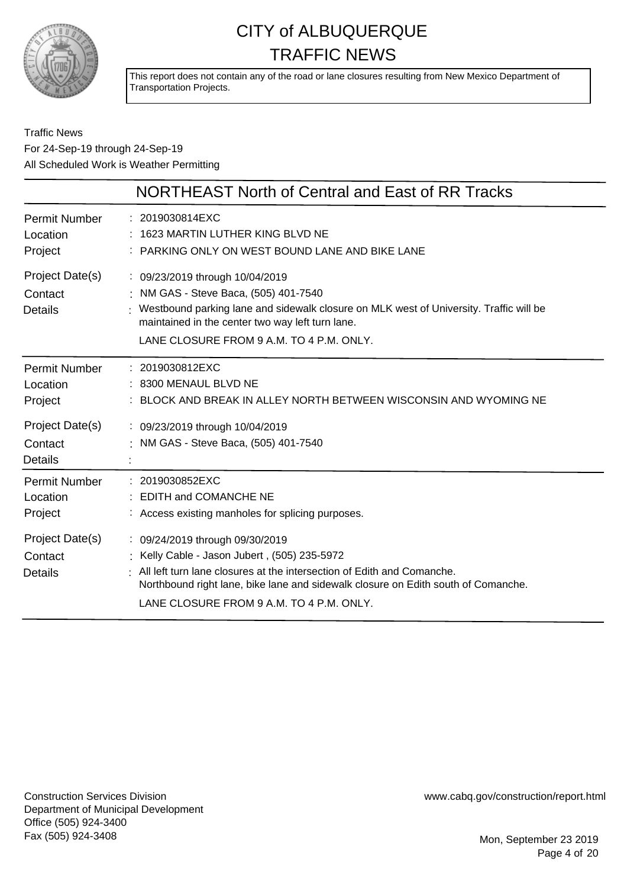

This report does not contain any of the road or lane closures resulting from New Mexico Department of Transportation Projects.

#### Traffic News For 24-Sep-19 through 24-Sep-19 All Scheduled Work is Weather Permitting

|                                              | NORTHEAST North of Central and East of RR Tracks                                                                                                                                                                                                                                           |
|----------------------------------------------|--------------------------------------------------------------------------------------------------------------------------------------------------------------------------------------------------------------------------------------------------------------------------------------------|
| <b>Permit Number</b><br>Location<br>Project  | : 2019030814EXC<br>1623 MARTIN LUTHER KING BLVD NE<br>: PARKING ONLY ON WEST BOUND LANE AND BIKE LANE                                                                                                                                                                                      |
| Project Date(s)<br>Contact<br><b>Details</b> | : 09/23/2019 through 10/04/2019<br>: NM GAS - Steve Baca, (505) 401-7540<br>: Westbound parking lane and sidewalk closure on MLK west of University. Traffic will be<br>maintained in the center two way left turn lane.<br>LANE CLOSURE FROM 9 A.M. TO 4 P.M. ONLY.                       |
| <b>Permit Number</b><br>Location<br>Project  | : 2019030812EXC<br>: 8300 MENAUL BLVD NE<br>BLOCK AND BREAK IN ALLEY NORTH BETWEEN WISCONSIN AND WYOMING NE                                                                                                                                                                                |
| Project Date(s)<br>Contact<br><b>Details</b> | : 09/23/2019 through 10/04/2019<br>: NM GAS - Steve Baca, (505) 401-7540                                                                                                                                                                                                                   |
| <b>Permit Number</b><br>Location<br>Project  | : 2019030852EXC<br>: EDITH and COMANCHE NE<br>: Access existing manholes for splicing purposes.                                                                                                                                                                                            |
| Project Date(s)<br>Contact<br><b>Details</b> | : 09/24/2019 through 09/30/2019<br>: Kelly Cable - Jason Jubert, (505) 235-5972<br>All left turn lane closures at the intersection of Edith and Comanche.<br>Northbound right lane, bike lane and sidewalk closure on Edith south of Comanche.<br>LANE CLOSURE FROM 9 A.M. TO 4 P.M. ONLY. |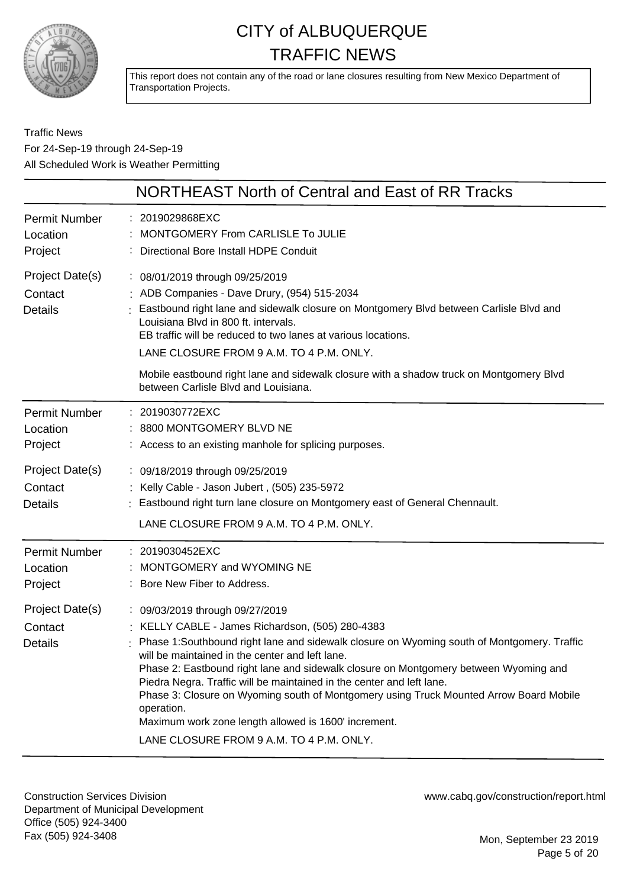

This report does not contain any of the road or lane closures resulting from New Mexico Department of Transportation Projects.

Traffic News For 24-Sep-19 through 24-Sep-19 All Scheduled Work is Weather Permitting

|                                              | NORTHEAST North of Central and East of RR Tracks                                                                                                                                                                                                                                                                                                                                                                                                                                                                                                                                                                  |
|----------------------------------------------|-------------------------------------------------------------------------------------------------------------------------------------------------------------------------------------------------------------------------------------------------------------------------------------------------------------------------------------------------------------------------------------------------------------------------------------------------------------------------------------------------------------------------------------------------------------------------------------------------------------------|
| <b>Permit Number</b><br>Location<br>Project  | : 2019029868EXC<br>MONTGOMERY From CARLISLE To JULIE<br>: Directional Bore Install HDPE Conduit                                                                                                                                                                                                                                                                                                                                                                                                                                                                                                                   |
| Project Date(s)<br>Contact<br><b>Details</b> | : 08/01/2019 through 09/25/2019<br>: ADB Companies - Dave Drury, (954) 515-2034<br>: Eastbound right lane and sidewalk closure on Montgomery Blvd between Carlisle Blvd and<br>Louisiana Blvd in 800 ft. intervals.<br>EB traffic will be reduced to two lanes at various locations.<br>LANE CLOSURE FROM 9 A.M. TO 4 P.M. ONLY.                                                                                                                                                                                                                                                                                  |
|                                              | Mobile eastbound right lane and sidewalk closure with a shadow truck on Montgomery Blvd<br>between Carlisle Blvd and Louisiana.                                                                                                                                                                                                                                                                                                                                                                                                                                                                                   |
| <b>Permit Number</b><br>Location<br>Project  | : 2019030772EXC<br>: 8800 MONTGOMERY BLVD NE<br>: Access to an existing manhole for splicing purposes.                                                                                                                                                                                                                                                                                                                                                                                                                                                                                                            |
| Project Date(s)<br>Contact<br><b>Details</b> | : 09/18/2019 through 09/25/2019<br>: Kelly Cable - Jason Jubert, (505) 235-5972<br>: Eastbound right turn lane closure on Montgomery east of General Chennault.<br>LANE CLOSURE FROM 9 A.M. TO 4 P.M. ONLY.                                                                                                                                                                                                                                                                                                                                                                                                       |
| <b>Permit Number</b><br>Location<br>Project  | : 2019030452EXC<br>: MONTGOMERY and WYOMING NE<br>: Bore New Fiber to Address.                                                                                                                                                                                                                                                                                                                                                                                                                                                                                                                                    |
| Project Date(s)<br>Contact<br><b>Details</b> | : 09/03/2019 through 09/27/2019<br>: KELLY CABLE - James Richardson, (505) 280-4383<br>Phase 1:Southbound right lane and sidewalk closure on Wyoming south of Montgomery. Traffic<br>will be maintained in the center and left lane.<br>Phase 2: Eastbound right lane and sidewalk closure on Montgomery between Wyoming and<br>Piedra Negra. Traffic will be maintained in the center and left lane.<br>Phase 3: Closure on Wyoming south of Montgomery using Truck Mounted Arrow Board Mobile<br>operation.<br>Maximum work zone length allowed is 1600' increment.<br>LANE CLOSURE FROM 9 A.M. TO 4 P.M. ONLY. |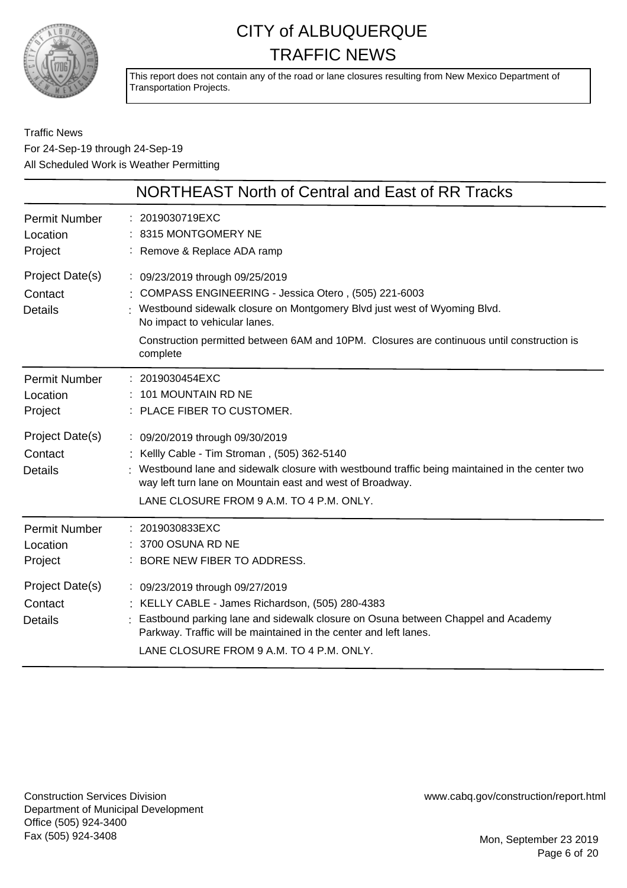

This report does not contain any of the road or lane closures resulting from New Mexico Department of Transportation Projects.

Traffic News For 24-Sep-19 through 24-Sep-19 All Scheduled Work is Weather Permitting

|                                              | <b>NORTHEAST North of Central and East of RR Tracks</b>                                                                                                                                                                                                                                                       |
|----------------------------------------------|---------------------------------------------------------------------------------------------------------------------------------------------------------------------------------------------------------------------------------------------------------------------------------------------------------------|
| <b>Permit Number</b><br>Location<br>Project  | : 2019030719EXC<br>: 8315 MONTGOMERY NE<br>: Remove & Replace ADA ramp                                                                                                                                                                                                                                        |
| Project Date(s)<br>Contact<br><b>Details</b> | : 09/23/2019 through 09/25/2019<br>COMPASS ENGINEERING - Jessica Otero, (505) 221-6003<br>Westbound sidewalk closure on Montgomery Blvd just west of Wyoming Blvd.<br>No impact to vehicular lanes.<br>Construction permitted between 6AM and 10PM. Closures are continuous until construction is<br>complete |
| <b>Permit Number</b><br>Location<br>Project  | : 2019030454EXC<br>101 MOUNTAIN RD NE<br>: PLACE FIBER TO CUSTOMER.                                                                                                                                                                                                                                           |
| Project Date(s)<br>Contact<br><b>Details</b> | : 09/20/2019 through 09/30/2019<br>Kellly Cable - Tim Stroman, (505) 362-5140<br>Westbound lane and sidewalk closure with westbound traffic being maintained in the center two<br>way left turn lane on Mountain east and west of Broadway.<br>LANE CLOSURE FROM 9 A.M. TO 4 P.M. ONLY.                       |
| <b>Permit Number</b><br>Location<br>Project  | : 2019030833EXC<br>3700 OSUNA RD NE<br>BORE NEW FIBER TO ADDRESS.                                                                                                                                                                                                                                             |
| Project Date(s)<br>Contact<br><b>Details</b> | : 09/23/2019 through 09/27/2019<br>: KELLY CABLE - James Richardson, (505) 280-4383<br>Eastbound parking lane and sidewalk closure on Osuna between Chappel and Academy<br>Parkway. Traffic will be maintained in the center and left lanes.<br>LANE CLOSURE FROM 9 A.M. TO 4 P.M. ONLY.                      |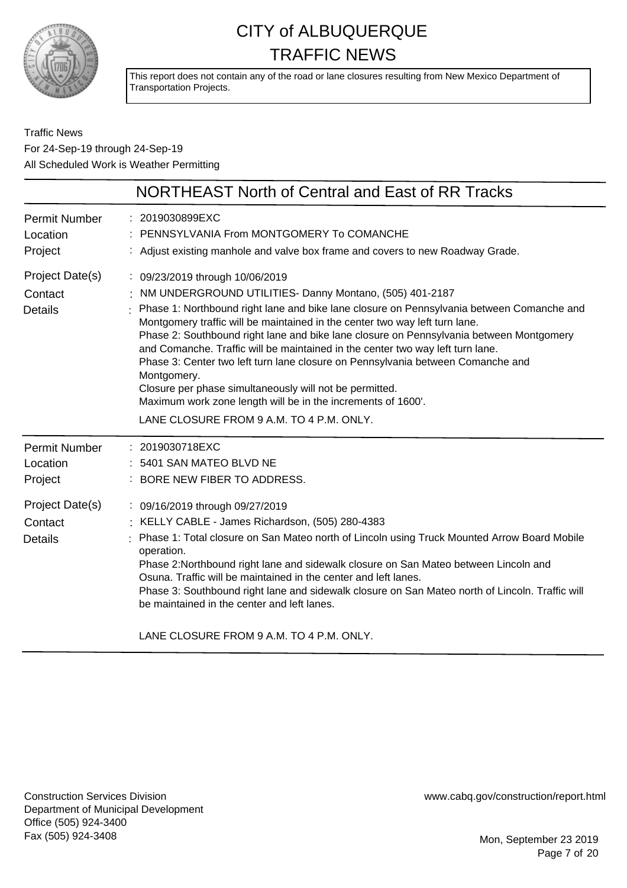

This report does not contain any of the road or lane closures resulting from New Mexico Department of Transportation Projects.

#### Traffic News For 24-Sep-19 through 24-Sep-19 All Scheduled Work is Weather Permitting

|                                              | NORTHEAST North of Central and East of RR Tracks                                                                                                                                                                                                                                                                                                                                                                                                                                                                                                                                                                                                                                                                               |
|----------------------------------------------|--------------------------------------------------------------------------------------------------------------------------------------------------------------------------------------------------------------------------------------------------------------------------------------------------------------------------------------------------------------------------------------------------------------------------------------------------------------------------------------------------------------------------------------------------------------------------------------------------------------------------------------------------------------------------------------------------------------------------------|
| <b>Permit Number</b><br>Location<br>Project  | 2019030899EXC<br>PENNSYLVANIA From MONTGOMERY To COMANCHE<br>: Adjust existing manhole and valve box frame and covers to new Roadway Grade.                                                                                                                                                                                                                                                                                                                                                                                                                                                                                                                                                                                    |
| Project Date(s)<br>Contact<br><b>Details</b> | : 09/23/2019 through 10/06/2019<br>: NM UNDERGROUND UTILITIES- Danny Montano, (505) 401-2187<br>Phase 1: Northbound right lane and bike lane closure on Pennsylvania between Comanche and<br>Montgomery traffic will be maintained in the center two way left turn lane.<br>Phase 2: Southbound right lane and bike lane closure on Pennsylvania between Montgomery<br>and Comanche. Traffic will be maintained in the center two way left turn lane.<br>Phase 3: Center two left turn lane closure on Pennsylvania between Comanche and<br>Montgomery.<br>Closure per phase simultaneously will not be permitted.<br>Maximum work zone length will be in the increments of 1600'.<br>LANE CLOSURE FROM 9 A.M. TO 4 P.M. ONLY. |
| <b>Permit Number</b><br>Location<br>Project  | : 2019030718EXC<br>5401 SAN MATEO BLVD NE<br>BORE NEW FIBER TO ADDRESS.                                                                                                                                                                                                                                                                                                                                                                                                                                                                                                                                                                                                                                                        |
| Project Date(s)<br>Contact<br><b>Details</b> | : 09/16/2019 through 09/27/2019<br>: KELLY CABLE - James Richardson, (505) 280-4383<br>Phase 1: Total closure on San Mateo north of Lincoln using Truck Mounted Arrow Board Mobile<br>operation.<br>Phase 2:Northbound right lane and sidewalk closure on San Mateo between Lincoln and<br>Osuna. Traffic will be maintained in the center and left lanes.<br>Phase 3: Southbound right lane and sidewalk closure on San Mateo north of Lincoln. Traffic will<br>be maintained in the center and left lanes.<br>LANE CLOSURE FROM 9 A.M. TO 4 P.M. ONLY.                                                                                                                                                                       |

Construction Services Division Department of Municipal Development Office (505) 924-3400 Fax (505) 924-3408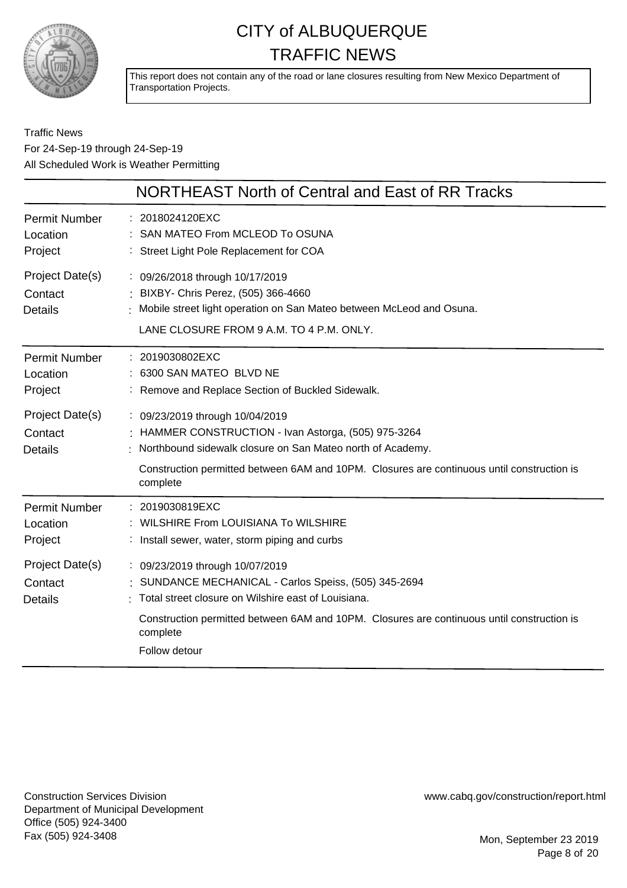

This report does not contain any of the road or lane closures resulting from New Mexico Department of Transportation Projects.

#### Traffic News For 24-Sep-19 through 24-Sep-19 All Scheduled Work is Weather Permitting

|                                              | NORTHEAST North of Central and East of RR Tracks                                                                                                                                                                                                                         |
|----------------------------------------------|--------------------------------------------------------------------------------------------------------------------------------------------------------------------------------------------------------------------------------------------------------------------------|
| <b>Permit Number</b><br>Location<br>Project  | : 2018024120EXC<br>: SAN MATEO From MCLEOD To OSUNA<br>: Street Light Pole Replacement for COA                                                                                                                                                                           |
| Project Date(s)<br>Contact<br><b>Details</b> | : 09/26/2018 through 10/17/2019<br>: BIXBY- Chris Perez, (505) 366-4660<br>Mobile street light operation on San Mateo between McLeod and Osuna.<br>LANE CLOSURE FROM 9 A.M. TO 4 P.M. ONLY.                                                                              |
| <b>Permit Number</b><br>Location<br>Project  | : 2019030802EXC<br>: 6300 SAN MATEO BLVD NE<br>: Remove and Replace Section of Buckled Sidewalk.                                                                                                                                                                         |
| Project Date(s)<br>Contact<br><b>Details</b> | : 09/23/2019 through 10/04/2019<br>: HAMMER CONSTRUCTION - Ivan Astorga, (505) 975-3264<br>: Northbound sidewalk closure on San Mateo north of Academy.<br>Construction permitted between 6AM and 10PM. Closures are continuous until construction is<br>complete        |
| <b>Permit Number</b><br>Location<br>Project  | : 2019030819EXC<br>: WILSHIRE From LOUISIANA To WILSHIRE<br>: Install sewer, water, storm piping and curbs                                                                                                                                                               |
| Project Date(s)<br>Contact<br><b>Details</b> | : 09/23/2019 through 10/07/2019<br>SUNDANCE MECHANICAL - Carlos Speiss, (505) 345-2694<br>Total street closure on Wilshire east of Louisiana.<br>Construction permitted between 6AM and 10PM. Closures are continuous until construction is<br>complete<br>Follow detour |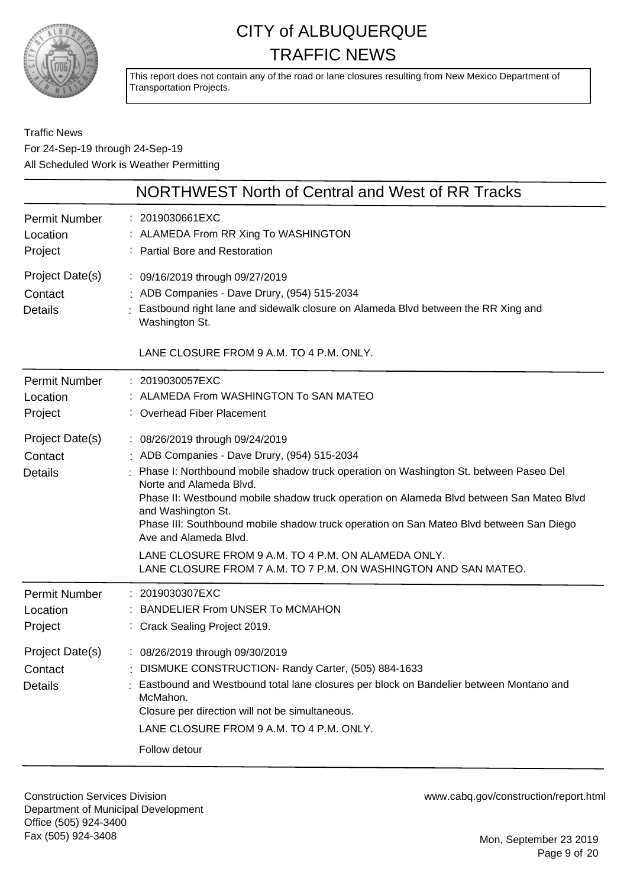

This report does not contain any of the road or lane closures resulting from New Mexico Department of Transportation Projects.

#### Traffic News For 24-Sep-19 through 24-Sep-19 All Scheduled Work is Weather Permitting

|                                                                                             | NORTHWEST North of Central and West of RR Tracks                                                                                                                                                                                                                                                                                                                                                                                                                                                                                                                                                                                                           |
|---------------------------------------------------------------------------------------------|------------------------------------------------------------------------------------------------------------------------------------------------------------------------------------------------------------------------------------------------------------------------------------------------------------------------------------------------------------------------------------------------------------------------------------------------------------------------------------------------------------------------------------------------------------------------------------------------------------------------------------------------------------|
| <b>Permit Number</b><br>Location<br>Project                                                 | : 2019030661EXC<br>: ALAMEDA From RR Xing To WASHINGTON<br>: Partial Bore and Restoration                                                                                                                                                                                                                                                                                                                                                                                                                                                                                                                                                                  |
| Project Date(s)<br>Contact<br><b>Details</b>                                                | : 09/16/2019 through 09/27/2019<br>: ADB Companies - Dave Drury, (954) 515-2034<br>Eastbound right lane and sidewalk closure on Alameda Blvd between the RR Xing and<br>Washington St.                                                                                                                                                                                                                                                                                                                                                                                                                                                                     |
|                                                                                             | LANE CLOSURE FROM 9 A.M. TO 4 P.M. ONLY.                                                                                                                                                                                                                                                                                                                                                                                                                                                                                                                                                                                                                   |
| <b>Permit Number</b><br>Location<br>Project<br>Project Date(s)<br>Contact<br><b>Details</b> | : 2019030057EXC<br>ALAMEDA From WASHINGTON To SAN MATEO<br>: Overhead Fiber Placement<br>: 08/26/2019 through 09/24/2019<br>ADB Companies - Dave Drury, (954) 515-2034<br>Phase I: Northbound mobile shadow truck operation on Washington St. between Paseo Del<br>Norte and Alameda Blvd.<br>Phase II: Westbound mobile shadow truck operation on Alameda Blvd between San Mateo Blvd<br>and Washington St.<br>Phase III: Southbound mobile shadow truck operation on San Mateo Blvd between San Diego<br>Ave and Alameda Blvd.<br>LANE CLOSURE FROM 9 A.M. TO 4 P.M. ON ALAMEDA ONLY.<br>LANE CLOSURE FROM 7 A.M. TO 7 P.M. ON WASHINGTON AND SAN MATEO. |
| <b>Permit Number</b><br>Location<br>Project                                                 | : 2019030307EXC<br><b>BANDELIER From UNSER To MCMAHON</b><br>: Crack Sealing Project 2019.                                                                                                                                                                                                                                                                                                                                                                                                                                                                                                                                                                 |
| Project Date(s)<br>Contact<br><b>Details</b>                                                | : 08/26/2019 through 09/30/2019<br>: DISMUKE CONSTRUCTION- Randy Carter, (505) 884-1633<br>Eastbound and Westbound total lane closures per block on Bandelier between Montano and<br>McMahon.<br>Closure per direction will not be simultaneous.<br>LANE CLOSURE FROM 9 A.M. TO 4 P.M. ONLY.<br>Follow detour                                                                                                                                                                                                                                                                                                                                              |

Construction Services Division Department of Municipal Development Office (505) 924-3400 Fax (505) 924-3408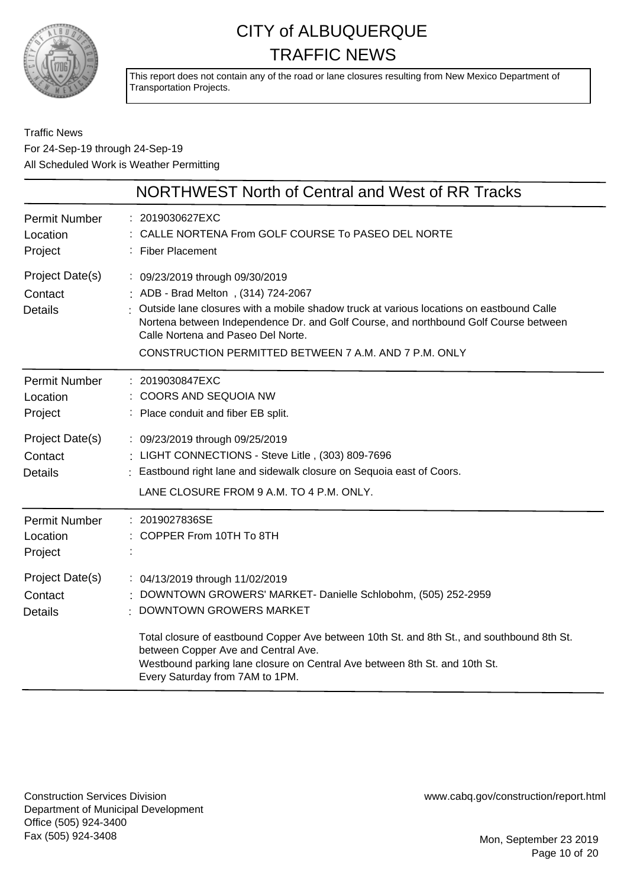

This report does not contain any of the road or lane closures resulting from New Mexico Department of Transportation Projects.

Traffic News For 24-Sep-19 through 24-Sep-19 All Scheduled Work is Weather Permitting

|                                              | NORTHWEST North of Central and West of RR Tracks                                                                                                                                                                                                                                                                                                          |
|----------------------------------------------|-----------------------------------------------------------------------------------------------------------------------------------------------------------------------------------------------------------------------------------------------------------------------------------------------------------------------------------------------------------|
| <b>Permit Number</b><br>Location<br>Project  | : 2019030627EXC<br>: CALLE NORTENA From GOLF COURSE To PASEO DEL NORTE<br>: Fiber Placement                                                                                                                                                                                                                                                               |
| Project Date(s)<br>Contact<br><b>Details</b> | : 09/23/2019 through 09/30/2019<br>: ADB - Brad Melton, (314) 724-2067<br>Outside lane closures with a mobile shadow truck at various locations on eastbound Calle<br>Nortena between Independence Dr. and Golf Course, and northbound Golf Course between<br>Calle Nortena and Paseo Del Norte.<br>CONSTRUCTION PERMITTED BETWEEN 7 A.M. AND 7 P.M. ONLY |
| <b>Permit Number</b><br>Location<br>Project  | : 2019030847EXC<br>: COORS AND SEQUOIA NW<br>: Place conduit and fiber EB split.                                                                                                                                                                                                                                                                          |
| Project Date(s)<br>Contact<br><b>Details</b> | : 09/23/2019 through 09/25/2019<br>: LIGHT CONNECTIONS - Steve Litle, (303) 809-7696<br>Eastbound right lane and sidewalk closure on Sequoia east of Coors.<br>LANE CLOSURE FROM 9 A.M. TO 4 P.M. ONLY.                                                                                                                                                   |
| <b>Permit Number</b><br>Location<br>Project  | : 2019027836SE<br>COPPER From 10TH To 8TH                                                                                                                                                                                                                                                                                                                 |
| Project Date(s)<br>Contact<br><b>Details</b> | : 04/13/2019 through 11/02/2019<br>DOWNTOWN GROWERS' MARKET- Danielle Schlobohm, (505) 252-2959<br><b>DOWNTOWN GROWERS MARKET</b>                                                                                                                                                                                                                         |
|                                              | Total closure of eastbound Copper Ave between 10th St. and 8th St., and southbound 8th St.<br>between Copper Ave and Central Ave.<br>Westbound parking lane closure on Central Ave between 8th St. and 10th St.<br>Every Saturday from 7AM to 1PM.                                                                                                        |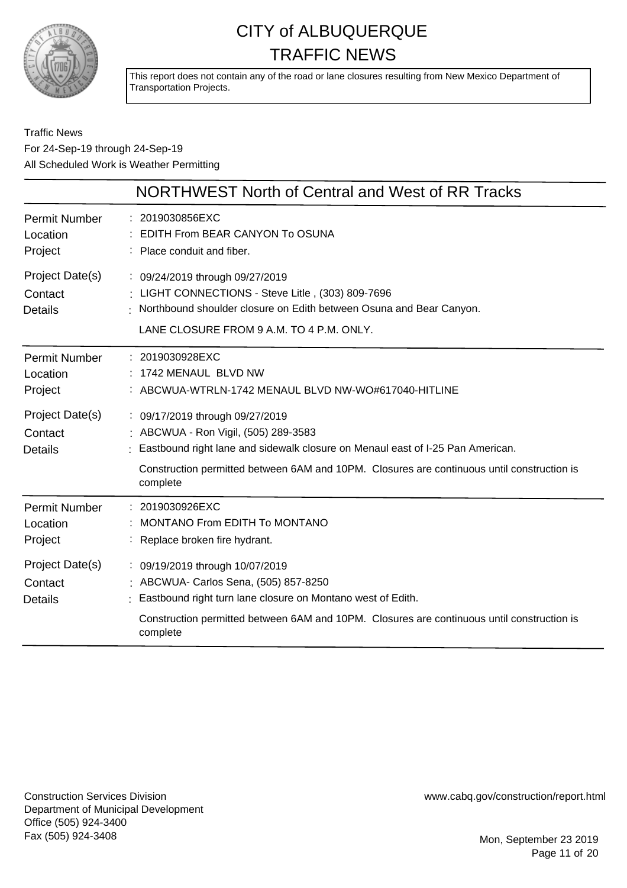

This report does not contain any of the road or lane closures resulting from New Mexico Department of Transportation Projects.

|                                              | NORTHWEST North of Central and West of RR Tracks                                                                                                                                                                                                                    |
|----------------------------------------------|---------------------------------------------------------------------------------------------------------------------------------------------------------------------------------------------------------------------------------------------------------------------|
| Permit Number<br>Location<br>Project         | : 2019030856EXC<br>EDITH From BEAR CANYON To OSUNA<br>: Place conduit and fiber.                                                                                                                                                                                    |
| Project Date(s)<br>Contact<br><b>Details</b> | : 09/24/2019 through 09/27/2019<br>: LIGHT CONNECTIONS - Steve Litle, (303) 809-7696<br>Northbound shoulder closure on Edith between Osuna and Bear Canyon.<br>LANE CLOSURE FROM 9 A.M. TO 4 P.M. ONLY.                                                             |
| Permit Number<br>Location<br>Project         | : 2019030928EXC<br>: 1742 MENAUL BLVD NW<br>: ABCWUA-WTRLN-1742 MENAUL BLVD NW-WO#617040-HITLINE                                                                                                                                                                    |
| Project Date(s)<br>Contact<br><b>Details</b> | : 09/17/2019 through 09/27/2019<br>: ABCWUA - Ron Vigil, (505) 289-3583<br>Eastbound right lane and sidewalk closure on Menaul east of I-25 Pan American.<br>Construction permitted between 6AM and 10PM. Closures are continuous until construction is<br>complete |
| <b>Permit Number</b><br>Location<br>Project  | : 2019030926EXC<br>MONTANO From EDITH To MONTANO<br>: Replace broken fire hydrant.                                                                                                                                                                                  |
| Project Date(s)<br>Contact<br><b>Details</b> | : 09/19/2019 through 10/07/2019<br>: ABCWUA- Carlos Sena, (505) 857-8250<br>: Eastbound right turn lane closure on Montano west of Edith.<br>Construction permitted between 6AM and 10PM. Closures are continuous until construction is<br>complete                 |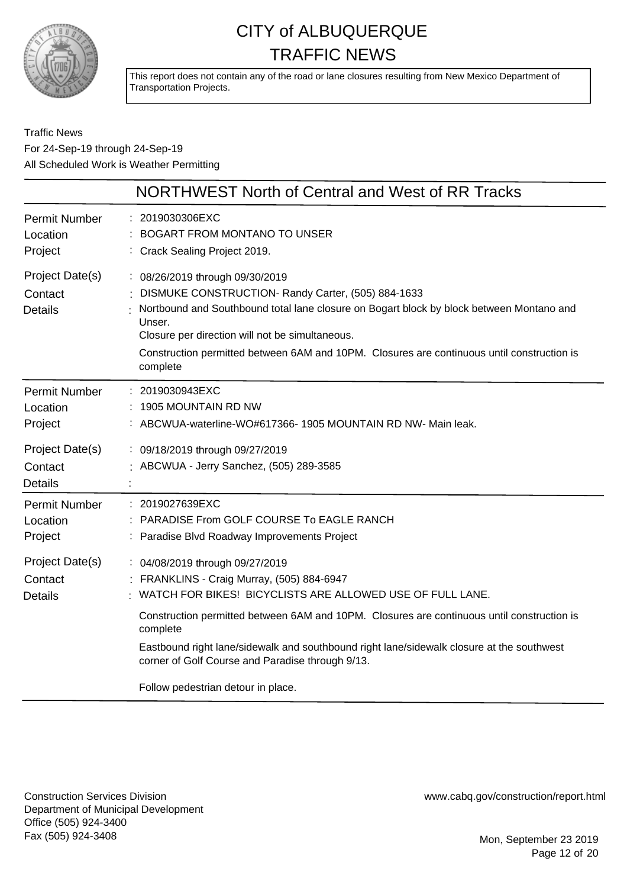

This report does not contain any of the road or lane closures resulting from New Mexico Department of Transportation Projects.

Traffic News For 24-Sep-19 through 24-Sep-19 All Scheduled Work is Weather Permitting

|                                              | NORTHWEST North of Central and West of RR Tracks                                                                                                                                                                                                                                                                                                         |
|----------------------------------------------|----------------------------------------------------------------------------------------------------------------------------------------------------------------------------------------------------------------------------------------------------------------------------------------------------------------------------------------------------------|
| <b>Permit Number</b><br>Location<br>Project  | : 2019030306EXC<br>BOGART FROM MONTANO TO UNSER<br>: Crack Sealing Project 2019.                                                                                                                                                                                                                                                                         |
| Project Date(s)<br>Contact<br><b>Details</b> | : 08/26/2019 through 09/30/2019<br>DISMUKE CONSTRUCTION- Randy Carter, (505) 884-1633<br>Nortbound and Southbound total lane closure on Bogart block by block between Montano and<br>Unser.<br>Closure per direction will not be simultaneous.<br>Construction permitted between 6AM and 10PM. Closures are continuous until construction is<br>complete |
| <b>Permit Number</b><br>Location<br>Project  | : 2019030943EXC<br>1905 MOUNTAIN RD NW<br>: ABCWUA-waterline-WO#617366-1905 MOUNTAIN RD NW- Main leak.                                                                                                                                                                                                                                                   |
| Project Date(s)<br>Contact<br><b>Details</b> | : 09/18/2019 through 09/27/2019<br>: ABCWUA - Jerry Sanchez, (505) 289-3585                                                                                                                                                                                                                                                                              |
| <b>Permit Number</b><br>Location<br>Project  | : 2019027639EXC<br>PARADISE From GOLF COURSE To EAGLE RANCH<br>Paradise Blvd Roadway Improvements Project                                                                                                                                                                                                                                                |
| Project Date(s)<br>Contact<br><b>Details</b> | : 04/08/2019 through 09/27/2019<br>FRANKLINS - Craig Murray, (505) 884-6947<br>: WATCH FOR BIKES! BICYCLISTS ARE ALLOWED USE OF FULL LANE.                                                                                                                                                                                                               |
|                                              | Construction permitted between 6AM and 10PM. Closures are continuous until construction is<br>complete<br>Eastbound right lane/sidewalk and southbound right lane/sidewalk closure at the southwest<br>corner of Golf Course and Paradise through 9/13.<br>Follow pedestrian detour in place.                                                            |

Construction Services Division Department of Municipal Development Office (505) 924-3400 Fax (505) 924-3408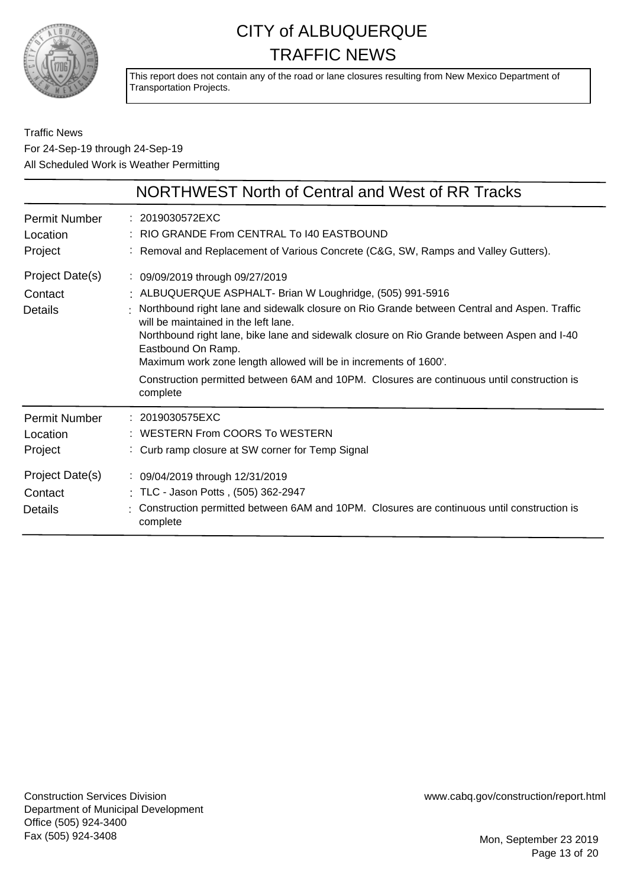

This report does not contain any of the road or lane closures resulting from New Mexico Department of Transportation Projects.

|                                                                                             | NORTHWEST North of Central and West of RR Tracks                                                                                                                                                                                                                                                                                                                                                                                                                                                                                        |
|---------------------------------------------------------------------------------------------|-----------------------------------------------------------------------------------------------------------------------------------------------------------------------------------------------------------------------------------------------------------------------------------------------------------------------------------------------------------------------------------------------------------------------------------------------------------------------------------------------------------------------------------------|
| <b>Permit Number</b><br>Location<br>Project                                                 | : 2019030572EXC<br>: RIO GRANDE From CENTRAL To I40 EASTBOUND<br>Removal and Replacement of Various Concrete (C&G, SW, Ramps and Valley Gutters).                                                                                                                                                                                                                                                                                                                                                                                       |
| Project Date(s)<br>Contact<br><b>Details</b>                                                | : 09/09/2019 through 09/27/2019<br>: ALBUQUERQUE ASPHALT- Brian W Loughridge, (505) 991-5916<br>: Northbound right lane and sidewalk closure on Rio Grande between Central and Aspen. Traffic<br>will be maintained in the left lane.<br>Northbound right lane, bike lane and sidewalk closure on Rio Grande between Aspen and I-40<br>Eastbound On Ramp.<br>Maximum work zone length allowed will be in increments of 1600'.<br>Construction permitted between 6AM and 10PM. Closures are continuous until construction is<br>complete |
| <b>Permit Number</b><br>Location<br>Project<br>Project Date(s)<br>Contact<br><b>Details</b> | : 2019030575EXC<br>WESTERN From COORS To WESTERN<br>: Curb ramp closure at SW corner for Temp Signal<br>: 09/04/2019 through 12/31/2019<br>: TLC - Jason Potts, (505) 362-2947<br>Construction permitted between 6AM and 10PM. Closures are continuous until construction is<br>complete                                                                                                                                                                                                                                                |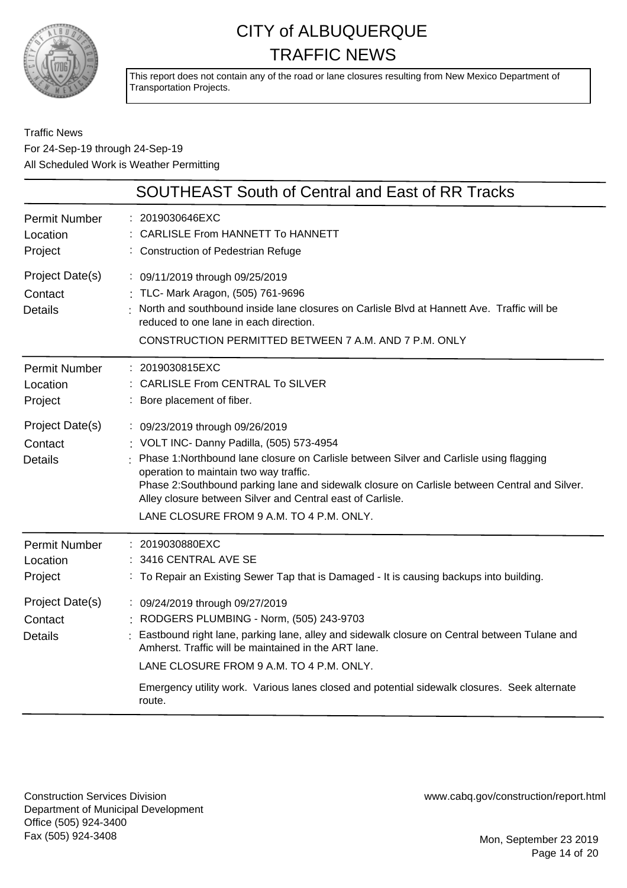

This report does not contain any of the road or lane closures resulting from New Mexico Department of Transportation Projects.

#### Traffic News For 24-Sep-19 through 24-Sep-19 All Scheduled Work is Weather Permitting

|                                              | <b>SOUTHEAST South of Central and East of RR Tracks</b>                                                                                                                                                                                                                                                                                                                                                                     |
|----------------------------------------------|-----------------------------------------------------------------------------------------------------------------------------------------------------------------------------------------------------------------------------------------------------------------------------------------------------------------------------------------------------------------------------------------------------------------------------|
| <b>Permit Number</b><br>Location<br>Project  | : 2019030646EXC<br>CARLISLE From HANNETT To HANNETT<br>: Construction of Pedestrian Refuge                                                                                                                                                                                                                                                                                                                                  |
| Project Date(s)<br>Contact<br><b>Details</b> | : 09/11/2019 through 09/25/2019<br>: TLC- Mark Aragon, (505) 761-9696<br>: North and southbound inside lane closures on Carlisle Blvd at Hannett Ave. Traffic will be<br>reduced to one lane in each direction.<br>CONSTRUCTION PERMITTED BETWEEN 7 A.M. AND 7 P.M. ONLY                                                                                                                                                    |
| <b>Permit Number</b><br>Location<br>Project  | : 2019030815EXC<br>: CARLISLE From CENTRAL To SILVER<br>: Bore placement of fiber.                                                                                                                                                                                                                                                                                                                                          |
| Project Date(s)<br>Contact<br><b>Details</b> | : 09/23/2019 through 09/26/2019<br>: VOLT INC- Danny Padilla, (505) 573-4954<br>Phase 1: Northbound lane closure on Carlisle between Silver and Carlisle using flagging<br>operation to maintain two way traffic.<br>Phase 2:Southbound parking lane and sidewalk closure on Carlisle between Central and Silver.<br>Alley closure between Silver and Central east of Carlisle.<br>LANE CLOSURE FROM 9 A.M. TO 4 P.M. ONLY. |
| <b>Permit Number</b><br>Location<br>Project  | : 2019030880EXC<br>: 3416 CENTRAL AVE SE<br>: To Repair an Existing Sewer Tap that is Damaged - It is causing backups into building.                                                                                                                                                                                                                                                                                        |
| Project Date(s)<br>Contact<br><b>Details</b> | : 09/24/2019 through 09/27/2019<br>RODGERS PLUMBING - Norm, (505) 243-9703<br>: Eastbound right lane, parking lane, alley and sidewalk closure on Central between Tulane and<br>Amherst. Traffic will be maintained in the ART lane.<br>LANE CLOSURE FROM 9 A.M. TO 4 P.M. ONLY.<br>Emergency utility work. Various lanes closed and potential sidewalk closures. Seek alternate<br>route.                                  |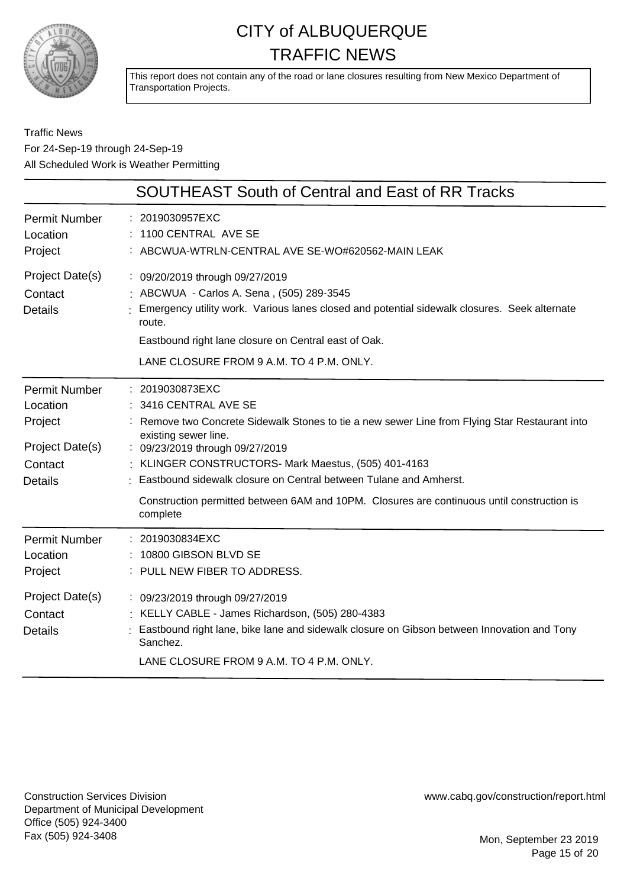

This report does not contain any of the road or lane closures resulting from New Mexico Department of Transportation Projects.

#### Traffic News For 24-Sep-19 through 24-Sep-19 All Scheduled Work is Weather Permitting

|                                                                                             | <b>SOUTHEAST South of Central and East of RR Tracks</b>                                                                                                                                                                                                                                                                                                                                                                                  |
|---------------------------------------------------------------------------------------------|------------------------------------------------------------------------------------------------------------------------------------------------------------------------------------------------------------------------------------------------------------------------------------------------------------------------------------------------------------------------------------------------------------------------------------------|
| <b>Permit Number</b><br>Location<br>Project                                                 | 2019030957EXC<br>1100 CENTRAL AVE SE<br>ABCWUA-WTRLN-CENTRAL AVE SE-WO#620562-MAIN LEAK                                                                                                                                                                                                                                                                                                                                                  |
| Project Date(s)<br>Contact<br><b>Details</b>                                                | : 09/20/2019 through 09/27/2019<br>ABCWUA - Carlos A. Sena, (505) 289-3545<br>Emergency utility work. Various lanes closed and potential sidewalk closures. Seek alternate<br>route.<br>Eastbound right lane closure on Central east of Oak.<br>LANE CLOSURE FROM 9 A.M. TO 4 P.M. ONLY.                                                                                                                                                 |
| <b>Permit Number</b><br>Location<br>Project<br>Project Date(s)<br>Contact<br><b>Details</b> | : 2019030873EXC<br>3416 CENTRAL AVE SE<br>Remove two Concrete Sidewalk Stones to tie a new sewer Line from Flying Star Restaurant into<br>existing sewer line.<br>: 09/23/2019 through 09/27/2019<br>KLINGER CONSTRUCTORS- Mark Maestus, (505) 401-4163<br>: Eastbound sidewalk closure on Central between Tulane and Amherst.<br>Construction permitted between 6AM and 10PM. Closures are continuous until construction is<br>complete |
| <b>Permit Number</b><br>Location<br>Project<br>Project Date(s)<br>Contact<br><b>Details</b> | 2019030834EXC<br>10800 GIBSON BLVD SE<br>PULL NEW FIBER TO ADDRESS.<br>: 09/23/2019 through 09/27/2019<br>KELLY CABLE - James Richardson, (505) 280-4383<br>Eastbound right lane, bike lane and sidewalk closure on Gibson between Innovation and Tony<br>Sanchez.<br>LANE CLOSURE FROM 9 A.M. TO 4 P.M. ONLY.                                                                                                                           |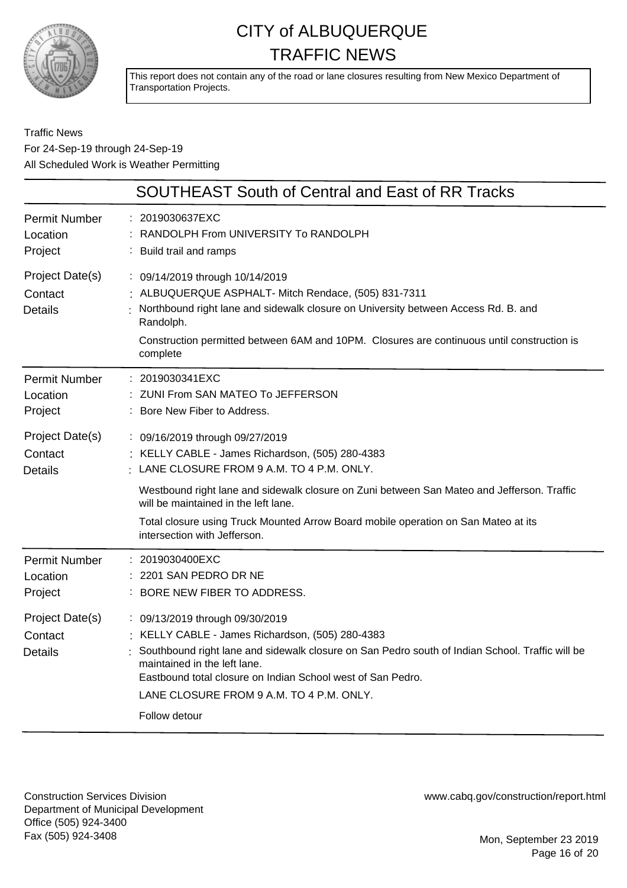

This report does not contain any of the road or lane closures resulting from New Mexico Department of Transportation Projects.

#### Traffic News For 24-Sep-19 through 24-Sep-19 All Scheduled Work is Weather Permitting

|                                              | <b>SOUTHEAST South of Central and East of RR Tracks</b>                                                                                                                                                                                                                                                                                            |
|----------------------------------------------|----------------------------------------------------------------------------------------------------------------------------------------------------------------------------------------------------------------------------------------------------------------------------------------------------------------------------------------------------|
| <b>Permit Number</b><br>Location<br>Project  | : 2019030637EXC<br>: RANDOLPH From UNIVERSITY To RANDOLPH<br>: Build trail and ramps                                                                                                                                                                                                                                                               |
| Project Date(s)<br>Contact<br><b>Details</b> | : 09/14/2019 through 10/14/2019<br>: ALBUQUERQUE ASPHALT- Mitch Rendace, (505) 831-7311<br>Northbound right lane and sidewalk closure on University between Access Rd. B. and<br>Randolph.<br>Construction permitted between 6AM and 10PM. Closures are continuous until construction is<br>complete                                               |
| <b>Permit Number</b><br>Location<br>Project  | : 2019030341EXC<br>: ZUNI From SAN MATEO To JEFFERSON<br>: Bore New Fiber to Address.                                                                                                                                                                                                                                                              |
| Project Date(s)<br>Contact<br><b>Details</b> | : 09/16/2019 through 09/27/2019<br>: KELLY CABLE - James Richardson, (505) 280-4383<br>· LANE CLOSURE FROM 9 A.M. TO 4 P.M. ONLY.                                                                                                                                                                                                                  |
|                                              | Westbound right lane and sidewalk closure on Zuni between San Mateo and Jefferson. Traffic<br>will be maintained in the left lane.<br>Total closure using Truck Mounted Arrow Board mobile operation on San Mateo at its<br>intersection with Jefferson.                                                                                           |
| <b>Permit Number</b><br>Location<br>Project  | : 2019030400EXC<br>: 2201 SAN PEDRO DR NE<br>: BORE NEW FIBER TO ADDRESS.                                                                                                                                                                                                                                                                          |
| Project Date(s)<br>Contact<br><b>Details</b> | : 09/13/2019 through 09/30/2019<br>KELLY CABLE - James Richardson, (505) 280-4383<br>: Southbound right lane and sidewalk closure on San Pedro south of Indian School. Traffic will be<br>maintained in the left lane.<br>Eastbound total closure on Indian School west of San Pedro.<br>LANE CLOSURE FROM 9 A.M. TO 4 P.M. ONLY.<br>Follow detour |

Construction Services Division Department of Municipal Development Office (505) 924-3400 Fax (505) 924-3408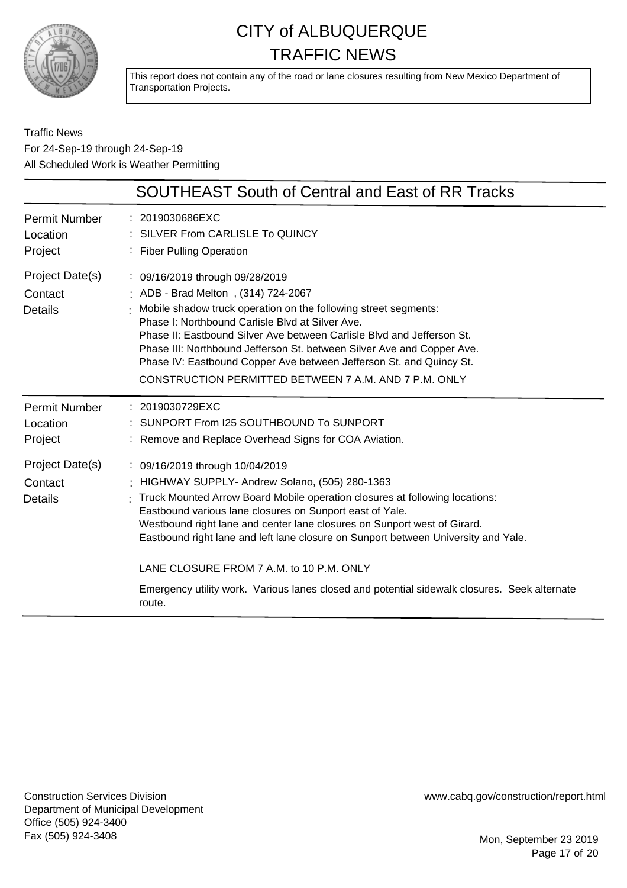

This report does not contain any of the road or lane closures resulting from New Mexico Department of Transportation Projects.

Traffic News For 24-Sep-19 through 24-Sep-19 All Scheduled Work is Weather Permitting

|                                              | <b>SOUTHEAST South of Central and East of RR Tracks</b>                                                                                                                                                                                                                                                                                                                                                                                                                                                                                                 |
|----------------------------------------------|---------------------------------------------------------------------------------------------------------------------------------------------------------------------------------------------------------------------------------------------------------------------------------------------------------------------------------------------------------------------------------------------------------------------------------------------------------------------------------------------------------------------------------------------------------|
| <b>Permit Number</b><br>Location<br>Project  | : 2019030686EXC<br>: SILVER From CARLISLE To QUINCY<br>: Fiber Pulling Operation                                                                                                                                                                                                                                                                                                                                                                                                                                                                        |
| Project Date(s)<br>Contact<br><b>Details</b> | : 09/16/2019 through 09/28/2019<br>: ADB - Brad Melton, (314) 724-2067<br>Mobile shadow truck operation on the following street segments:<br>Phase I: Northbound Carlisle Blyd at Silver Ave.<br>Phase II: Eastbound Silver Ave between Carlisle Blvd and Jefferson St.<br>Phase III: Northbound Jefferson St. between Silver Ave and Copper Ave.<br>Phase IV: Eastbound Copper Ave between Jefferson St. and Quincy St.<br>CONSTRUCTION PERMITTED BETWEEN 7 A.M. AND 7 P.M. ONLY                                                                       |
| <b>Permit Number</b><br>Location<br>Project  | : 2019030729EXC<br>SUNPORT From I25 SOUTHBOUND To SUNPORT<br>: Remove and Replace Overhead Signs for COA Aviation.                                                                                                                                                                                                                                                                                                                                                                                                                                      |
| Project Date(s)<br>Contact<br><b>Details</b> | : 09/16/2019 through 10/04/2019<br>: HIGHWAY SUPPLY- Andrew Solano, (505) 280-1363<br>: Truck Mounted Arrow Board Mobile operation closures at following locations:<br>Eastbound various lane closures on Sunport east of Yale.<br>Westbound right lane and center lane closures on Sunport west of Girard.<br>Eastbound right lane and left lane closure on Sunport between University and Yale.<br>LANE CLOSURE FROM 7 A.M. to 10 P.M. ONLY<br>Emergency utility work. Various lanes closed and potential sidewalk closures. Seek alternate<br>route. |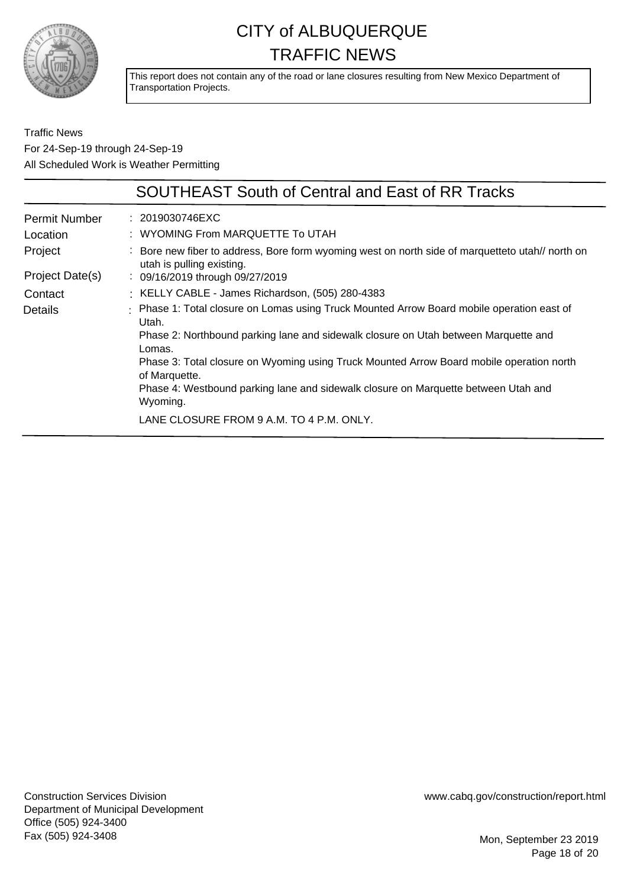

This report does not contain any of the road or lane closures resulting from New Mexico Department of Transportation Projects.

|                 | <b>SOUTHEAST South of Central and East of RR Tracks</b>                                                                       |
|-----------------|-------------------------------------------------------------------------------------------------------------------------------|
| Permit Number   | : 2019030746EXC                                                                                                               |
| Location        | : WYOMING From MARQUETTE To UTAH                                                                                              |
| Project         | : Bore new fiber to address, Bore form wyoming west on north side of marquetteto utah// north on<br>utah is pulling existing. |
| Project Date(s) | : 09/16/2019 through 09/27/2019                                                                                               |
| Contact         | : KELLY CABLE - James Richardson, (505) 280-4383                                                                              |
| <b>Details</b>  | : Phase 1: Total closure on Lomas using Truck Mounted Arrow Board mobile operation east of<br>Utah.                           |
|                 | Phase 2: Northbound parking lane and sidewalk closure on Utah between Marquette and<br>Lomas.                                 |
|                 | Phase 3: Total closure on Wyoming using Truck Mounted Arrow Board mobile operation north<br>of Marquette.                     |
|                 | Phase 4: Westbound parking lane and sidewalk closure on Marquette between Utah and<br>Wyoming.                                |
|                 | LANE CLOSURE FROM 9 A.M. TO 4 P.M. ONLY.                                                                                      |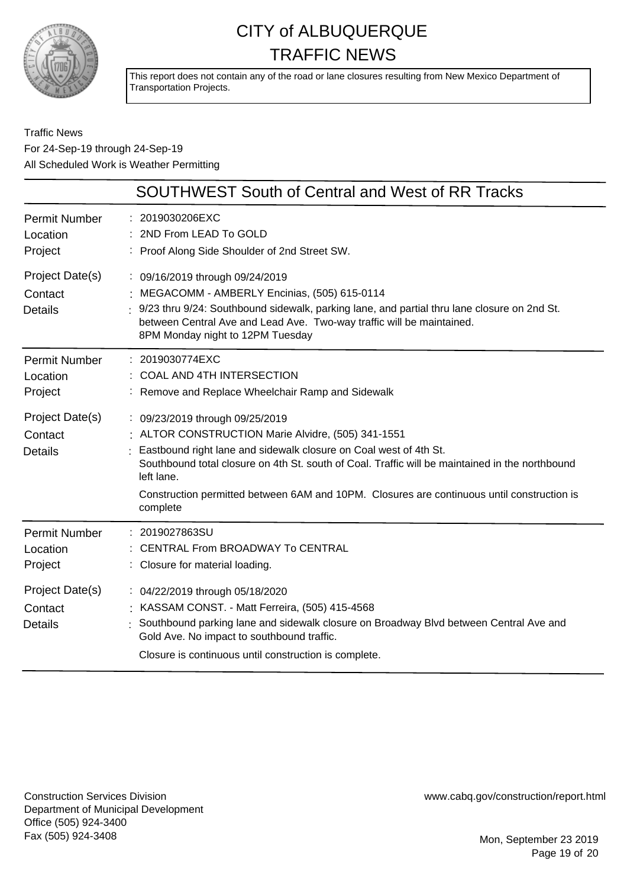

This report does not contain any of the road or lane closures resulting from New Mexico Department of Transportation Projects.

Traffic News For 24-Sep-19 through 24-Sep-19 All Scheduled Work is Weather Permitting

|                                              | <b>SOUTHWEST South of Central and West of RR Tracks</b>                                                                                                                                                                                                                                                                                                                               |
|----------------------------------------------|---------------------------------------------------------------------------------------------------------------------------------------------------------------------------------------------------------------------------------------------------------------------------------------------------------------------------------------------------------------------------------------|
| <b>Permit Number</b><br>Location<br>Project  | : 2019030206EXC<br>2ND From LEAD To GOLD<br>: Proof Along Side Shoulder of 2nd Street SW.                                                                                                                                                                                                                                                                                             |
| Project Date(s)<br>Contact<br><b>Details</b> | : 09/16/2019 through 09/24/2019<br>: MEGACOMM - AMBERLY Encinias, (505) 615-0114<br>$\frac{1}{2}$ 9/23 thru 9/24: Southbound sidewalk, parking lane, and partial thru lane closure on 2nd St.<br>between Central Ave and Lead Ave. Two-way traffic will be maintained.<br>8PM Monday night to 12PM Tuesday                                                                            |
| <b>Permit Number</b><br>Location<br>Project  | : 2019030774EXC<br>COAL AND 4TH INTERSECTION<br>: Remove and Replace Wheelchair Ramp and Sidewalk                                                                                                                                                                                                                                                                                     |
| Project Date(s)<br>Contact<br><b>Details</b> | : 09/23/2019 through 09/25/2019<br>: ALTOR CONSTRUCTION Marie Alvidre, (505) 341-1551<br>Eastbound right lane and sidewalk closure on Coal west of 4th St.<br>Southbound total closure on 4th St, south of Coal. Traffic will be maintained in the northbound<br>left lane.<br>Construction permitted between 6AM and 10PM. Closures are continuous until construction is<br>complete |
| <b>Permit Number</b><br>Location<br>Project  | : 2019027863SU<br>CENTRAL From BROADWAY To CENTRAL<br>: Closure for material loading.                                                                                                                                                                                                                                                                                                 |
| Project Date(s)<br>Contact<br><b>Details</b> | : 04/22/2019 through 05/18/2020<br>: KASSAM CONST. - Matt Ferreira, (505) 415-4568<br>: Southbound parking lane and sidewalk closure on Broadway Blvd between Central Ave and<br>Gold Ave. No impact to southbound traffic.<br>Closure is continuous until construction is complete.                                                                                                  |